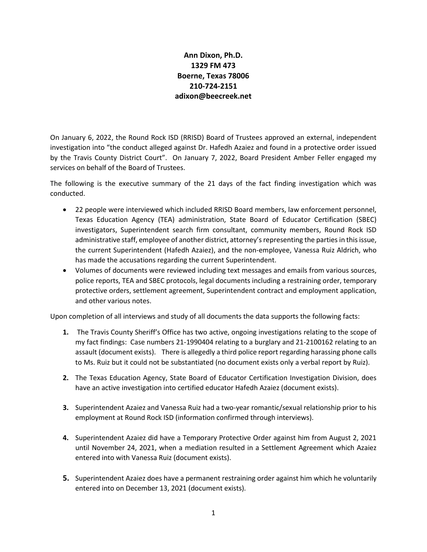## **Ann Dixon, Ph.D. 1329 FM 473 Boerne, Texas 78006 210-724-2151 adixon@beecreek.net**

On January 6, 2022, the Round Rock ISD (RRISD) Board of Trustees approved an external, independent investigation into "the conduct alleged against Dr. Hafedh Azaiez and found in a protective order issued by the Travis County District Court". On January 7, 2022, Board President Amber Feller engaged my services on behalf of the Board of Trustees.

The following is the executive summary of the 21 days of the fact finding investigation which was conducted.

- 22 people were interviewed which included RRISD Board members, law enforcement personnel, Texas Education Agency (TEA) administration, State Board of Educator Certification (SBEC) investigators, Superintendent search firm consultant, community members, Round Rock ISD administrative staff, employee of another district, attorney's representing the parties in this issue, the current Superintendent (Hafedh Azaiez), and the non-employee, Vanessa Ruiz Aldrich, who has made the accusations regarding the current Superintendent.
- Volumes of documents were reviewed including text messages and emails from various sources, police reports, TEA and SBEC protocols, legal documents including a restraining order, temporary protective orders, settlement agreement, Superintendent contract and employment application, and other various notes.

Upon completion of all interviews and study of all documents the data supports the following facts:

- **1.** The Travis County Sheriff's Office has two active, ongoing investigations relating to the scope of my fact findings: Case numbers 21-1990404 relating to a burglary and 21-2100162 relating to an assault (document exists). There is allegedly a third police report regarding harassing phone calls to Ms. Ruiz but it could not be substantiated (no document exists only a verbal report by Ruiz).
- **2.** The Texas Education Agency, State Board of Educator Certification Investigation Division, does have an active investigation into certified educator Hafedh Azaiez (document exists).
- **3.** Superintendent Azaiez and Vanessa Ruiz had a two-year romantic/sexual relationship prior to his employment at Round Rock ISD (information confirmed through interviews).
- **4.** Superintendent Azaiez did have a Temporary Protective Order against him from August 2, 2021 until November 24, 2021, when a mediation resulted in a Settlement Agreement which Azaiez entered into with Vanessa Ruiz (document exists).
- **5.** Superintendent Azaiez does have a permanent restraining order against him which he voluntarily entered into on December 13, 2021 (document exists).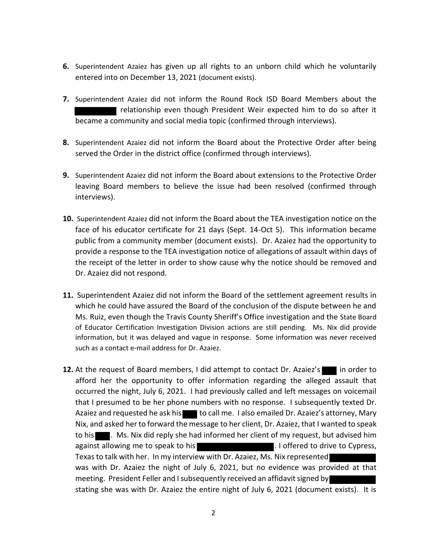- **6.** Superintendent Azaiez has given up all rights to an unborn child which he voluntarily entered into on December 13, 2021 (document exists).
- **7.** Superintendent Azaiez did not inform the Round Rock ISD Board Members about the relationship even though President Weir expected him to do so after it became a community and social media topic (confirmed through interviews).
- **8.** Superintendent Azaiez did not inform the Board about the Protective Order after being served the Order in the district office (confirmed through interviews).
- **9.** Superintendent Azaiez did not inform the Board about extensions to the Protective Order leaving Board members to believe the issue had been resolved (confirmed through interviews).
- **10.** Superintendent Azaiez did not inform the Board about the TEA investigation notice on the face of his educator certificate for 21 days (Sept. 14-Oct 5). This information became public from a community member (document exists). Dr. Azaiez had the opportunity to provide a response to the TEA investigation notice of allegations of assault within days of the receipt of the letter in order to show cause why the notice should be removed and Dr. Azaiez did not respond.
- **11.** Superintendent Azaiez did not inform the Board of the settlement agreement results in which he could have assured the Board of the conclusion of the dispute between he and Ms. Ruiz, even though the Travis County Sheriff's Office investigation and the State Board of Educator Certification Investigation Division actions are still pending. Ms. Nix did provide information, but it was delayed and vague in response. Some information was never received such as a contact e-mail address for Dr. Azaiez.
- **12.** At the request of Board members, I did attempt to contact Dr. Azaiez's in order to afford her the opportunity to offer information regarding the alleged assault that occurred the night, July 6, 2021. I had previously called and left messages on voicemail that I presumed to be her phone numbers with no response. I subsequently texted Dr. Azaiez and requested he ask his to call me. I also emailed Dr. Azaiez's attorney, Mary Nix, and asked her to forward the message to her client, Dr. Azaiez, that I wanted to speak to his **. M.** Ms. Nix did reply she had informed her client of my request, but advised him against allowing me to speak to his **Exercise 2.** I offered to drive to Cypress, Texas to talk with her. In my interview with Dr. Azaiez, Ms. Nix represented was with Dr. Azaiez the night of July 6, 2021, but no evidence was provided at that meeting. President Feller and I subsequently received an affidavit signed by stating she was with Dr. Azaiez the entire night of July 6, 2021 (document exists). It is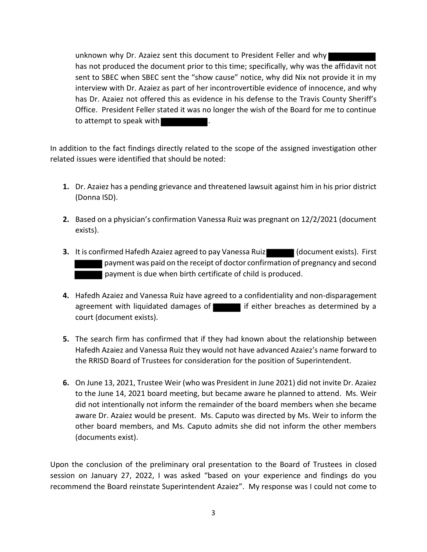unknown why Dr. Azaiez sent this document to President Feller and why has not produced the document prior to this time; specifically, why was the affidavit not sent to SBEC when SBEC sent the "show cause" notice, why did Nix not provide it in my interview with Dr. Azaiez as part of her incontrovertible evidence of innocence, and why has Dr. Azaiez not offered this as evidence in his defense to the Travis County Sheriff's Office. President Feller stated it was no longer the wish of the Board for me to continue to attempt to speak with

In addition to the fact findings directly related to the scope of the assigned investigation other related issues were identified that should be noted:

- **1.** Dr. Azaiez has a pending grievance and threatened lawsuit against him in his prior district (Donna ISD).
- **2.** Based on a physician's confirmation Vanessa Ruiz was pregnant on 12/2/2021 (document exists).
- **3.** It is confirmed Hafedh Azaiez agreed to pay Vanessa Ruiz (document exists). First payment was paid on the receipt of doctor confirmation of pregnancy and second payment is due when birth certificate of child is produced.
- **4.** Hafedh Azaiez and Vanessa Ruiz have agreed to a confidentiality and non-disparagement agreement with liquidated damages of  $\blacksquare$  if either breaches as determined by a court (document exists).
- **5.** The search firm has confirmed that if they had known about the relationship between Hafedh Azaiez and Vanessa Ruiz they would not have advanced Azaiez's name forward to the RRISD Board of Trustees for consideration for the position of Superintendent.
- **6.** On June 13, 2021, Trustee Weir (who was President in June 2021) did not invite Dr. Azaiez to the June 14, 2021 board meeting, but became aware he planned to attend. Ms. Weir did not intentionally not inform the remainder of the board members when she became aware Dr. Azaiez would be present. Ms. Caputo was directed by Ms. Weir to inform the other board members, and Ms. Caputo admits she did not inform the other members (documents exist).

Upon the conclusion of the preliminary oral presentation to the Board of Trustees in closed session on January 27, 2022, I was asked "based on your experience and findings do you recommend the Board reinstate Superintendent Azaiez". My response was I could not come to